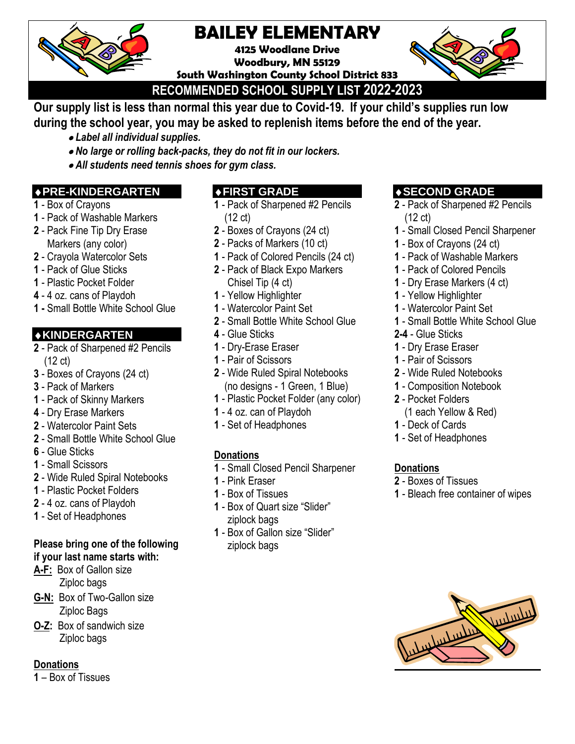

# **BAILEY ELEMENTARY**

**4125 Woodlane Drive Woodbury, MN 55129**

**South Washington County School District 833**



**RECOMMENDED SCHOOL SUPPLY LIST 2022-2023**

**Our supply list is less than normal this year due to Covid-19. If your child's supplies run low during the school year, you may be asked to replenish items before the end of the year.**

- *Label all individual supplies.*
- *No large or rolling back-packs, they do not fit in our lockers.*
- *All students need tennis shoes for gym class.*

# **PRE-KINDERGARTEN**

- Box of Crayons
- Pack of Washable Markers
- Pack Fine Tip Dry Erase Markers (any color)
- Crayola Watercolor Sets
- Pack of Glue Sticks
- Plastic Pocket Folder
- 4 oz. cans of Playdoh
- **1 -** Small Bottle White School Glue

# **KINDERGARTEN**

- Pack of Sharpened #2 Pencils (12 ct)
- Boxes of Crayons (24 ct)
- Pack of Markers
- Pack of Skinny Markers
- Dry Erase Markers
- Watercolor Paint Sets
- Small Bottle White School Glue
- Glue Sticks
- Small Scissors
- Wide Ruled Spiral Notebooks
- Plastic Pocket Folders
- 4 oz. cans of Playdoh
- Set of Headphones

## **Please bring one of the following if your last name starts with:**

**A-F:** Box of Gallon size Ziploc bags

- **G-N:** Box of Two-Gallon size Ziploc Bags
- **O-Z:** Box of sandwich size Ziploc bags

### **Donations**

– Box of Tissues

# **FIRST GRADE**

- Pack of Sharpened #2 Pencils (12 ct)
- Boxes of Crayons (24 ct)
- Packs of Markers (10 ct)
- Pack of Colored Pencils (24 ct) - Pack of Black Expo Markers
- Chisel Tip (4 ct)
- Yellow Highlighter
- Watercolor Paint Set
- Small Bottle White School Glue
- Glue Sticks
- Dry-Erase Eraser
- Pair of Scissors
- Wide Ruled Spiral Notebooks (no designs - 1 Green, 1 Blue)
- Plastic Pocket Folder (any color)
- 4 oz. can of Playdoh
- Set of Headphones

# **Donations**

- Small Closed Pencil Sharpener
- Pink Eraser
- Box of Tissues
- Box of Quart size "Slider" ziplock bags
- Box of Gallon size "Slider" ziplock bags

# **SECOND GRADE**

- Pack of Sharpened #2 Pencils (12 ct)
- Small Closed Pencil Sharpener
- Box of Crayons (24 ct)
- Pack of Washable Markers
- Pack of Colored Pencils
- Dry Erase Markers (4 ct)
- Yellow Highlighter
- Watercolor Paint Set
- Small Bottle White School Glue
- **2-4** Glue Sticks
- Dry Erase Eraser
- Pair of Scissors
- Wide Ruled Notebooks
- Composition Notebook
- Pocket Folders
	- (1 each Yellow & Red)
- Deck of Cards
- Set of Headphones

### **Donations**

- Boxes of Tissues
- Bleach free container of wipes